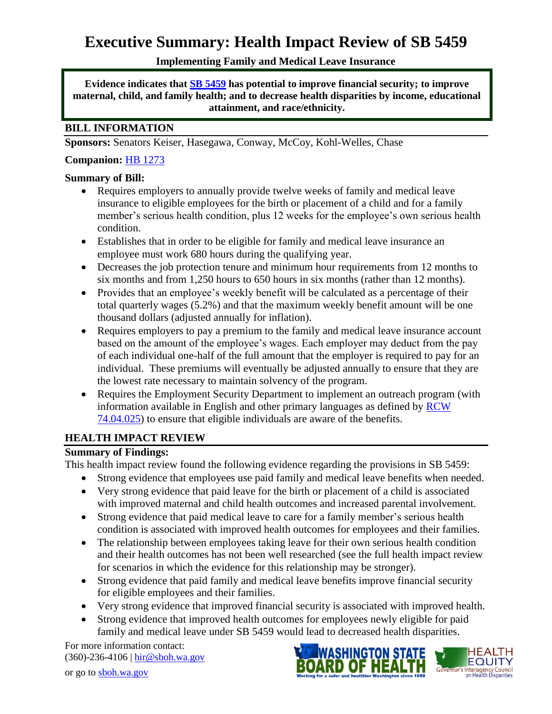# **Executive Summary: Health Impact Review of SB 5459**

# **Implementing Family and Medical Leave Insurance**

**Evidence indicates that [SB 5459](http://app.leg.wa.gov/billinfo/summary.aspx?bill=5459&year=2015) has potential to improve financial security; to improve maternal, child, and family health; and to decrease health disparities by income, educational attainment, and race/ethnicity.**

# **BILL INFORMATION**

**Sponsors:** Senators [Keiser,](http://www.leg.wa.gov/senate/senators/pages/default.aspx#keiser) [Hasegawa,](http://www.leg.wa.gov/senate/senators/pages/default.aspx#hasegawa) [Conway,](http://www.leg.wa.gov/senate/senators/pages/default.aspx#conway) [McCoy,](http://www.leg.wa.gov/senate/senators/pages/default.aspx#mccoy) [Kohl-Welles,](http://www.leg.wa.gov/senate/senators/pages/default.aspx#kohl-welles) [Chase](http://www.leg.wa.gov/senate/senators/pages/default.aspx#chase)

## **Companion:** [HB 1273](http://app.leg.wa.gov/billinfo/summary.aspx?bill=1273&year=2015)

## **Summary of Bill:**

- Requires employers to annually provide twelve weeks of family and medical leave insurance to eligible employees for the birth or placement of a child and for a family member's serious health condition, plus 12 weeks for the employee's own serious health condition.
- Establishes that in order to be eligible for family and medical leave insurance an employee must work 680 hours during the qualifying year.
- Decreases the job protection tenure and minimum hour requirements from 12 months to six months and from 1,250 hours to 650 hours in six months (rather than 12 months).
- Provides that an employee's weekly benefit will be calculated as a percentage of their total quarterly wages (5.2%) and that the maximum weekly benefit amount will be one thousand dollars (adjusted annually for inflation).
- Requires employers to pay a premium to the family and medical leave insurance account based on the amount of the employee's wages. Each employer may deduct from the pay of each individual one-half of the full amount that the employer is required to pay for an individual. These premiums will eventually be adjusted annually to ensure that they are the lowest rate necessary to maintain solvency of the program.
- Requires the Employment Security Department to implement an outreach program (with information available in English and other primary languages as defined by [RCW](http://app.leg.wa.gov/rcw/default.aspx?cite=74.04.025)  [74.04.025\)](http://app.leg.wa.gov/rcw/default.aspx?cite=74.04.025) to ensure that eligible individuals are aware of the benefits.

# **HEALTH IMPACT REVIEW**

# **Summary of Findings:**

This health impact review found the following evidence regarding the provisions in SB 5459:

- Strong evidence that employees use paid family and medical leave benefits when needed.
- Very strong evidence that paid leave for the birth or placement of a child is associated with improved maternal and child health outcomes and increased parental involvement.
- Strong evidence that paid medical leave to care for a family member's serious health condition is associated with improved health outcomes for employees and their families.
- The relationship between employees taking leave for their own serious health condition and their health outcomes has not been well researched (see the full health impact review for scenarios in which the evidence for this relationship may be stronger).
- Strong evidence that paid family and medical leave benefits improve financial security for eligible employees and their families.
- Very strong evidence that improved financial security is associated with improved health.
- Strong evidence that improved health outcomes for employees newly eligible for paid family and medical leave under SB 5459 would lead to decreased health disparities.

For more information contact: (360)-236-4106 | [hir@sboh.wa.gov](mailto:hir@sboh.wa.gov)





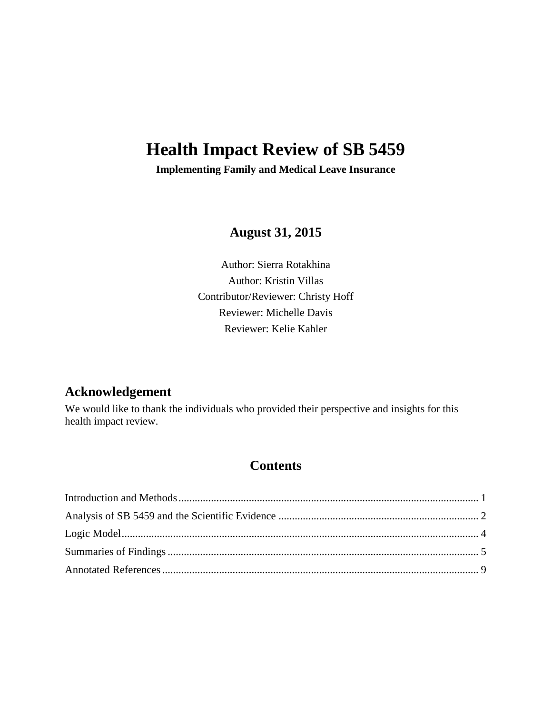# **Health Impact Review of SB 5459**

**Implementing Family and Medical Leave Insurance**

**August 31, 2015**

Author: Sierra Rotakhina Author: Kristin Villas Contributor/Reviewer: Christy Hoff Reviewer: Michelle Davis Reviewer: Kelie Kahler

# **Acknowledgement**

We would like to thank the individuals who provided their perspective and insights for this health impact review.

# **Contents**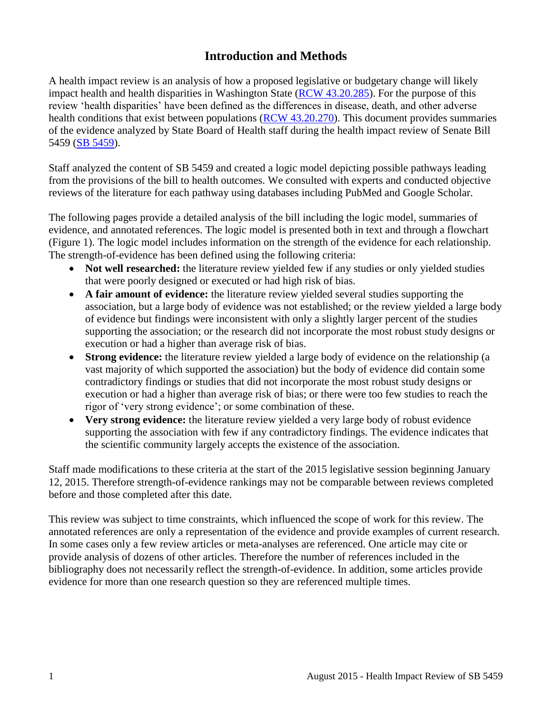# **Introduction and Methods**

<span id="page-2-0"></span>A health impact review is an analysis of how a proposed legislative or budgetary change will likely impact health and health disparities in Washington State [\(RCW 43.20.285\)](http://apps.leg.wa.gov/rcw/default.aspx?cite=43.20.285). For the purpose of this review 'health disparities' have been defined as the differences in disease, death, and other adverse health conditions that exist between populations [\(RCW 43.20.270\)](http://apps.leg.wa.gov/rcw/default.aspx?cite=43.20.270). This document provides summaries of the evidence analyzed by State Board of Health staff during the health impact review of Senate Bill 5459 [\(SB 5459\)](http://app.leg.wa.gov/billinfo/summary.aspx?bill=5459&year=2015).

Staff analyzed the content of SB 5459 and created a logic model depicting possible pathways leading from the provisions of the bill to health outcomes. We consulted with experts and conducted objective reviews of the literature for each pathway using databases including PubMed and Google Scholar.

The following pages provide a detailed analysis of the bill including the logic model, summaries of evidence, and annotated references. The logic model is presented both in text and through a flowchart (Figure 1). The logic model includes information on the strength of the evidence for each relationship. The strength-of-evidence has been defined using the following criteria:

- Not well researched: the literature review yielded few if any studies or only yielded studies that were poorly designed or executed or had high risk of bias.
- **A fair amount of evidence:** the literature review yielded several studies supporting the association, but a large body of evidence was not established; or the review yielded a large body of evidence but findings were inconsistent with only a slightly larger percent of the studies supporting the association; or the research did not incorporate the most robust study designs or execution or had a higher than average risk of bias.
- **Strong evidence:** the literature review yielded a large body of evidence on the relationship (a vast majority of which supported the association) but the body of evidence did contain some contradictory findings or studies that did not incorporate the most robust study designs or execution or had a higher than average risk of bias; or there were too few studies to reach the rigor of 'very strong evidence'; or some combination of these.
- **Very strong evidence:** the literature review yielded a very large body of robust evidence supporting the association with few if any contradictory findings. The evidence indicates that the scientific community largely accepts the existence of the association.

Staff made modifications to these criteria at the start of the 2015 legislative session beginning January 12, 2015. Therefore strength-of-evidence rankings may not be comparable between reviews completed before and those completed after this date.

This review was subject to time constraints, which influenced the scope of work for this review. The annotated references are only a representation of the evidence and provide examples of current research. In some cases only a few review articles or meta-analyses are referenced. One article may cite or provide analysis of dozens of other articles. Therefore the number of references included in the bibliography does not necessarily reflect the strength-of-evidence. In addition, some articles provide evidence for more than one research question so they are referenced multiple times.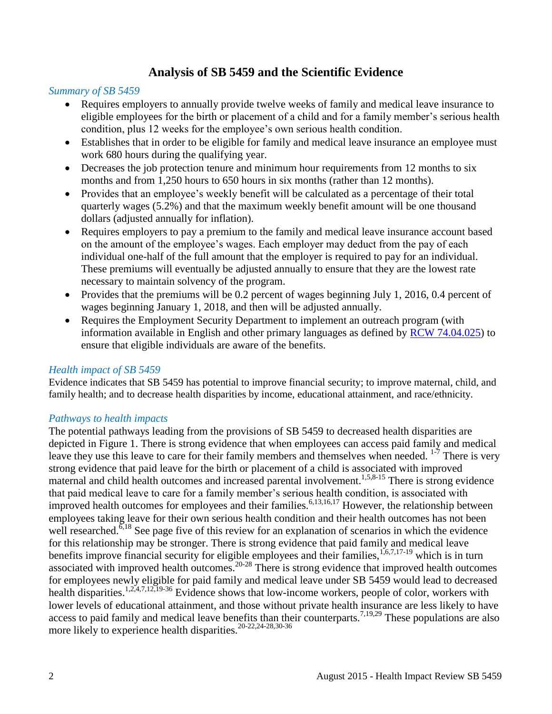# **Analysis of SB 5459 and the Scientific Evidence**

#### <span id="page-3-0"></span>*Summary of SB 5459*

- Requires employers to annually provide twelve weeks of family and medical leave insurance to eligible employees for the birth or placement of a child and for a family member's serious health condition, plus 12 weeks for the employee's own serious health condition.
- Establishes that in order to be eligible for family and medical leave insurance an employee must work 680 hours during the qualifying year.
- Decreases the job protection tenure and minimum hour requirements from 12 months to six months and from 1,250 hours to 650 hours in six months (rather than 12 months).
- Provides that an employee's weekly benefit will be calculated as a percentage of their total quarterly wages (5.2%) and that the maximum weekly benefit amount will be one thousand dollars (adjusted annually for inflation).
- Requires employers to pay a premium to the family and medical leave insurance account based on the amount of the employee's wages. Each employer may deduct from the pay of each individual one-half of the full amount that the employer is required to pay for an individual. These premiums will eventually be adjusted annually to ensure that they are the lowest rate necessary to maintain solvency of the program.
- Provides that the premiums will be 0.2 percent of wages beginning July 1, 2016, 0.4 percent of wages beginning January 1, 2018, and then will be adjusted annually.
- Requires the Employment Security Department to implement an outreach program (with information available in English and other primary languages as defined by [RCW 74.04.025\)](http://app.leg.wa.gov/rcw/default.aspx?cite=74.04.025) to ensure that eligible individuals are aware of the benefits.

#### *Health impact of SB 5459*

Evidence indicates that SB 5459 has potential to improve financial security; to improve maternal, child, and family health; and to decrease health disparities by income, educational attainment, and race/ethnicity.

#### *Pathways to health impacts*

The potential pathways leading from the provisions of SB 5459 to decreased health disparities are depicted in Figure 1. There is strong evidence that when employees can access paid family and medical leave they use this leave to care for their family members and themselves when needed.  $1\frac{1}{7}$  There is very strong evidence that paid leave for the birth or placement of a child is associated with improved maternal and child health outcomes and increased parental involvement.<sup>[1,](#page-10-1)[5](#page-12-0)[,8-15](#page-14-0)</sup> There is strong evidence that paid medical leave to care for a family member's serious health condition, is associated with improved health outcomes for employees and their families.<sup>[6,](#page-13-0)[13,](#page-17-0)[16,](#page-19-0)[17](#page-19-1)</sup> However, the relationship between employees taking leave for their own serious health condition and their health outcomes has not been well researched.<sup> $\overline{6}$ ,<sup>[18](#page-20-0)</sup> See page five of this review for an explanation of scenarios in which the evidence</sup> for this relationship may be stronger. There is strong evidence that paid family and medical leave benefits improve financial security for eligible employees and their families,  $1,6,7,17-19$  $1,6,7,17-19$  $1,6,7,17-19$  $1,6,7,17-19$  which is in turn associated with improved health outcomes.[20-28](#page-21-0) There is strong evidence that improved health outcomes for employees newly eligible for paid family and medical leave under SB 5459 would lead to decreased health disparities.<sup>[1,](#page-10-1)[2,](#page-10-2)[4,](#page-11-0)[7,](#page-13-1)[12,](#page-17-1)[19-36](#page-20-1)</sup> Evidence shows that low-income workers, people of color, workers with lower levels of educational attainment, and those without private health insurance are less likely to have access to paid family and medical leave benefits than their counterparts.<sup>[7,](#page-13-1)[19,](#page-20-1)[29](#page-23-0)</sup> These populations are also more likely to experience health disparities.<sup>[20-22,](#page-21-0)[24-28,](#page-22-0)[30-36](#page-24-0)</sup>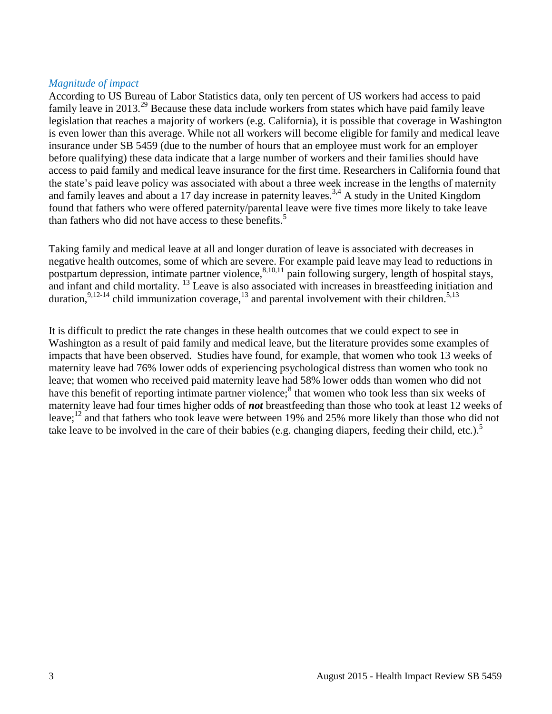#### *Magnitude of impact*

According to US Bureau of Labor Statistics data, only ten percent of US workers had access to paid family leave in 2013.<sup>[29](#page-23-0)</sup> Because these data include workers from states which have paid family leave legislation that reaches a majority of workers (e.g. California), it is possible that coverage in Washington is even lower than this average. While not all workers will become eligible for family and medical leave insurance under SB 5459 (due to the number of hours that an employee must work for an employer before qualifying) these data indicate that a large number of workers and their families should have access to paid family and medical leave insurance for the first time. Researchers in California found that the state's paid leave policy was associated with about a three week increase in the lengths of maternity and family leaves and about a 17 day increase in paternity leaves.<sup>[3,](#page-11-1)[4](#page-11-0)</sup> A study in the United Kingdom found that fathers who were offered paternity/parental leave were five times more likely to take leave than fathers who did not have access to these benefits.<sup>[5](#page-12-0)</sup>

Taking family and medical leave at all and longer duration of leave is associated with decreases in negative health outcomes, some of which are severe. For example paid leave may lead to reductions in postpartum depression, intimate partner violence,  $8,10,11$  $8,10,11$  $8,10,11$  pain following surgery, length of hospital stays, and infant and child mortality. <sup>[13](#page-17-0)</sup> Leave is also associated with increases in breastfeeding initiation and duration,<sup>[9](#page-15-1)[,12-14](#page-17-1)</sup> child immunization coverage,<sup>[13](#page-17-0)</sup> and parental involvement with their children.<sup>[5](#page-12-0)[,13](#page-17-0)</sup>

It is difficult to predict the rate changes in these health outcomes that we could expect to see in Washington as a result of paid family and medical leave, but the literature provides some examples of impacts that have been observed. Studies have found, for example, that women who took 13 weeks of maternity leave had 76% lower odds of experiencing psychological distress than women who took no leave; that women who received paid maternity leave had 58% lower odds than women who did not have this benefit of reporting intimate partner violence[;](#page-14-0)<sup>8</sup> that women who took less than six weeks of maternity leave had four times higher odds of *not* breastfeeding than those who took at least 12 weeks of leave;<sup>[12](#page-17-1)</sup> and that fathers who took leave were between 19% and 25% more likely than those who did not take leave to be involved in the care of their babies (e[.](#page-12-0)g. changing diapers, feeding their child, etc.).<sup>5</sup>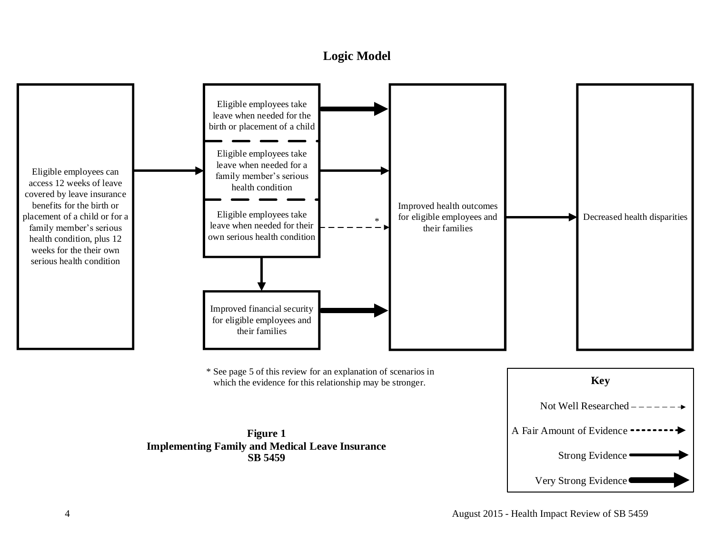# **Logic Model**

<span id="page-5-0"></span>

\* See page 5 of this review for an explanation of scenarios in which the evidence for this relationship may be stronger.



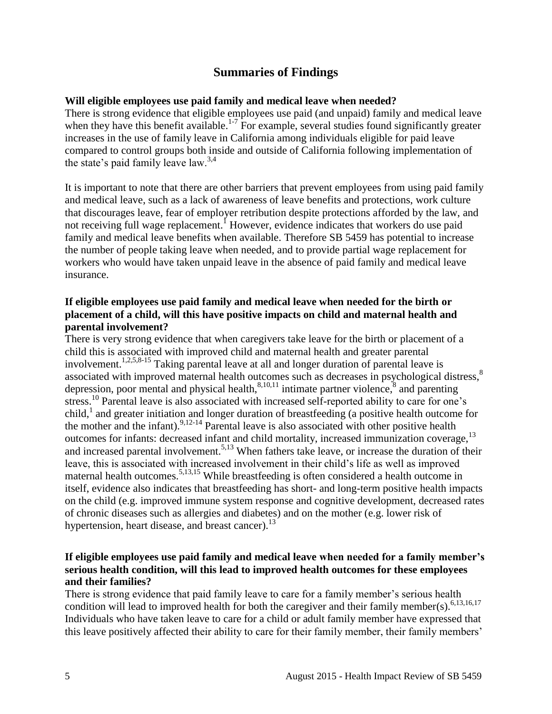# **Summaries of Findings**

#### <span id="page-6-0"></span>**Will eligible employees use paid family and medical leave when needed?**

There is strong evidence that eligible employees use paid (and unpaid) family and medical leave when they have this benefit available.<sup>[1-7](#page-10-1)</sup> For example, several studies found significantly greater increases in the use of family leave in California among individuals eligible for paid leave compared to control groups both inside and outside of California following implementation of the state's paid family leave law.<sup>[3,](#page-11-1)[4](#page-11-0)</sup>

It is important to note that there are other barriers that prevent employees from using paid family and medical leave, such as a lack of awareness of leave benefits and protections, work culture that discourages leave, fear of employer retribution despite protections afforded by the law, and not receiving full wage replacement[.](#page-10-1)<sup>1</sup> However, evidence indicates that workers do use paid family and medical leave benefits when available. Therefore SB 5459 has potential to increase the number of people taking leave when needed, and to provide partial wage replacement for workers who would have taken unpaid leave in the absence of paid family and medical leave insurance.

#### **If eligible employees use paid family and medical leave when needed for the birth or placement of a child, will this have positive impacts on child and maternal health and parental involvement?**

There is very strong evidence that when caregivers take leave for the birth or placement of a child this is associated with improved child and maternal health and greater parental involvement.<sup>[1](#page-10-1)[,2](#page-10-2)[,5](#page-12-0)[,8-15](#page-14-0)</sup> Taking parental leave at all and longer duration of parental leave is associated with improved maternal health outcomes such as decreases in psychological distress,<sup>[8](#page-14-0)</sup> depression[,](#page-14-0) poor mental and physical health,  $8,10,11$  $8,10,11$  $8,10,11$  intimate partner violence,  $8$  and parenting stress.<sup>[10](#page-15-0)</sup> Parental leave is also associated with increased self-reported ability to care for one's child, [1](#page-10-1) and greater initiation and longer duration of breastfeeding (a positive health outcome for the mother and the infant).  $9,12-14$  $9,12-14$  Parental leave is also associated with other positive health outcomes for infants: decreased infant and child mortality, increased immunization coverage,<sup>[13](#page-17-0)</sup> and increased parental involvement.<sup>[5,](#page-12-0)[13](#page-17-0)</sup> When fathers take leave, or increase the duration of their leave, this is associated with increased involvement in their child's life as well as improved maternal health outcomes.<sup>[5,](#page-12-0)[13,](#page-17-0)[15](#page-18-0)</sup> While breastfeeding is often considered a health outcome in itself, evidence also indicates that breastfeeding has short- and long-term positive health impacts on the child (e.g. improved immune system response and cognitive development, decreased rates of chronic diseases such as allergies and diabetes) and on the mother (e.g. lower risk of hypertension, heart disease, and breast cancer).<sup>[13](#page-17-0)</sup>

#### **If eligible employees use paid family and medical leave when needed for a family member's serious health condition, will this lead to improved health outcomes for these employees and their families?**

There is strong evidence that paid family leave to care for a family member's serious health condition will lead to improved health for both the caregiver and their family member(s).  $6,13,16,17$  $6,13,16,17$  $6,13,16,17$  $6,13,16,17$ Individuals who have taken leave to care for a child or adult family member have expressed that this leave positively affected their ability to care for their family member, their family members'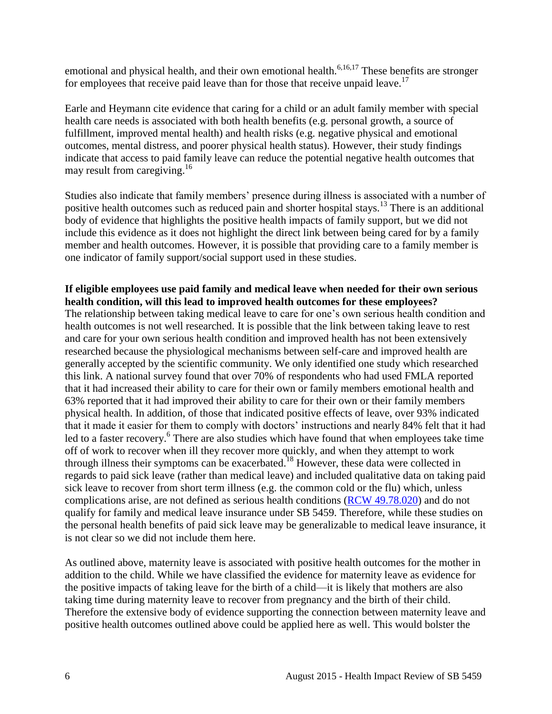emotional and physical health, and their own emotional health. $6,16,17$  $6,16,17$  $6,16,17$  These benefits are stronger for employees that receive paid leave than for those that receive unpaid leave.<sup>[17](#page-19-1)</sup>

Earle and Heymann cite evidence that caring for a child or an adult family member with special health care needs is associated with both health benefits (e.g. personal growth, a source of fulfillment, improved mental health) and health risks (e.g. negative physical and emotional outcomes, mental distress, and poorer physical health status). However, their study findings indicate that access to paid family leave can reduce the potential negative health outcomes that may result from caregiving.<sup>[16](#page-19-0)</sup>

Studies also indicate that family members' presence during illness is associated with a number of positive health outcomes such as reduced pain and shorter hospital stays.<sup>[13](#page-17-0)</sup> There is an additional body of evidence that highlights the positive health impacts of family support, but we did not include this evidence as it does not highlight the direct link between being cared for by a family member and health outcomes. However, it is possible that providing care to a family member is one indicator of family support/social support used in these studies.

**If eligible employees use paid family and medical leave when needed for their own serious health condition, will this lead to improved health outcomes for these employees?** The relationship between taking medical leave to care for one's own serious health condition and health outcomes is not well researched. It is possible that the link between taking leave to rest and care for your own serious health condition and improved health has not been extensively researched because the physiological mechanisms between self-care and improved health are generally accepted by the scientific community. We only identified one study which researched this link. A national survey found that over 70% of respondents who had used FMLA reported that it had increased their ability to care for their own or family members emotional health and 63% reported that it had improved their ability to care for their own or their family members physical health. In addition, of those that indicated positive effects of leave, over 93% indicated that it made it easier for them to comply with doctors' instructions and nearly 84% felt that it had led to a faster recovery.<sup>[6](#page-13-0)</sup> There are also studies which have found that when employees take time off of work to recover when ill they recover more quickly, and when they attempt to work through illness their symptoms can be exacerbated.[18](#page-20-0) However, these data were collected in regards to paid sick leave (rather than medical leave) and included qualitative data on taking paid sick leave to recover from short term illness (e.g. the common cold or the flu) which, unless complications arise, are not defined as serious health conditions [\(RCW 49.78.020\)](http://apps.leg.wa.gov/rcw/default.aspx?cite=49.78.020) and do not qualify for family and medical leave insurance under SB 5459. Therefore, while these studies on the personal health benefits of paid sick leave may be generalizable to medical leave insurance, it is not clear so we did not include them here.

As outlined above, maternity leave is associated with positive health outcomes for the mother in addition to the child. While we have classified the evidence for maternity leave as evidence for the positive impacts of taking leave for the birth of a child—it is likely that mothers are also taking time during maternity leave to recover from pregnancy and the birth of their child. Therefore the extensive body of evidence supporting the connection between maternity leave and positive health outcomes outlined above could be applied here as well. This would bolster the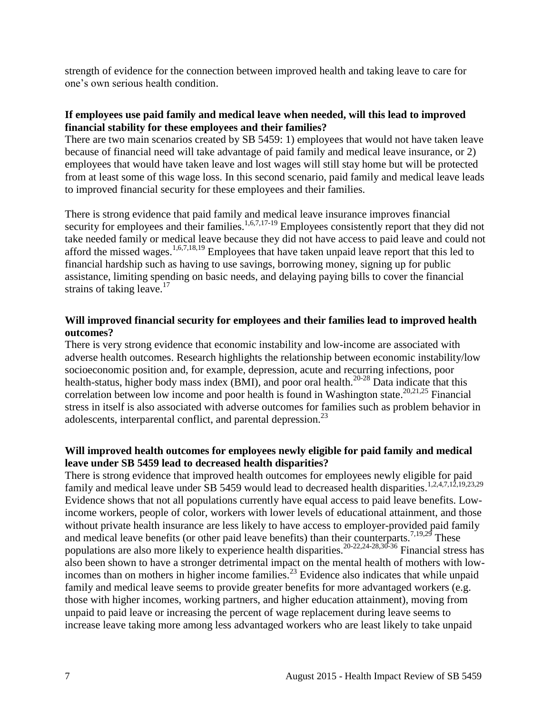strength of evidence for the connection between improved health and taking leave to care for one's own serious health condition.

#### **If employees use paid family and medical leave when needed, will this lead to improved financial stability for these employees and their families?**

There are two main scenarios created by SB 5459: 1) employees that would not have taken leave because of financial need will take advantage of paid family and medical leave insurance, or 2) employees that would have taken leave and lost wages will still stay home but will be protected from at least some of this wage loss. In this second scenario, paid family and medical leave leads to improved financial security for these employees and their families.

There is strong evidence that paid family and medical leave insurance improves financial security for employees and their families.<sup>[1,](#page-10-1)[6,](#page-13-0)[7,](#page-13-1)[17-19](#page-19-1)</sup> Employees consistently report that they did not take needed family or medical leave because they did not have access to paid leave and could not afford the missed wages.<sup>[1,](#page-10-1)[6,](#page-13-0)[7,](#page-13-1)[18,](#page-20-0)[19](#page-20-1)</sup> Employees that have taken unpaid leave report that this led to financial hardship such as having to use savings, borrowing money, signing up for public assistance, limiting spending on basic needs, and delaying paying bills to cover the financial strains of taking leave.<sup>[17](#page-19-1)</sup>

#### **Will improved financial security for employees and their families lead to improved health outcomes?**

There is very strong evidence that economic instability and low-income are associated with adverse health outcomes. Research highlights the relationship between economic instability/low socioeconomic position and, for example, depression, acute and recurring infections, poor health-status, higher body mass index (BMI), and poor oral health.<sup>[20-28](#page-21-0)</sup> Data indicate that this correlation between low income and poor health is found in Washington state.<sup>[20](#page-21-0)[,21](#page-21-1)[,25](#page-23-1)</sup> Financial stress in itself is also associated with adverse outcomes for families such as problem behavior in adolescents, interparental conflict, and parental depression.<sup>[23](#page-22-1)</sup>

#### **Will improved health outcomes for employees newly eligible for paid family and medical leave under SB 5459 lead to decreased health disparities?**

There is strong evidence that improved health outcomes for employees newly eligible for paid family and medical leave under SB 5459 would lead to decreased health disparities.<sup>[1](#page-10-1)[,2](#page-10-2)[,4](#page-11-0)[,7](#page-13-1)[,12](#page-17-1)[,19](#page-20-1)[,23](#page-22-1)[,29](#page-23-0)</sup> Evidence shows that not all populations currently have equal access to paid leave benefits. Lowincome workers, people of color, workers with lower levels of educational attainment, and those without private health insurance are less likely to have access to employer-provided paid family and medical leave benefits (or other paid leave benefits) than their counterparts.<sup>[7](#page-13-1)[,19](#page-20-1)[,29](#page-23-0)</sup> These populations are also more likely to experience health disparities.<sup>[20-22,](#page-21-0)[24-28](#page-22-0)[,30-36](#page-24-0)</sup> Financial stress has also been shown to have a stronger detrimental impact on the mental health of mothers with low-incomes than on mothers in higher income families.<sup>[23](#page-22-1)</sup> Evidence also indicates that while unpaid family and medical leave seems to provide greater benefits for more advantaged workers (e.g. those with higher incomes, working partners, and higher education attainment), moving from unpaid to paid leave or increasing the percent of wage replacement during leave seems to increase leave taking more among less advantaged workers who are least likely to take unpaid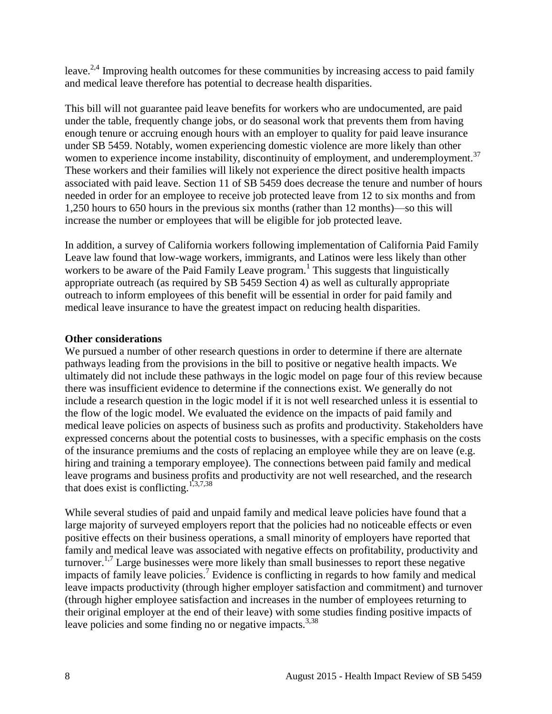leave.<sup>[2,](#page-10-2)[4](#page-11-0)</sup> Improving health outcomes for these communities by increasing access to paid family and medical leave therefore has potential to decrease health disparities.

This bill will not guarantee paid leave benefits for workers who are undocumented, are paid under the table, frequently change jobs, or do seasonal work that prevents them from having enough tenure or accruing enough hours with an employer to quality for paid leave insurance under SB 5459. Notably, women experiencing domestic violence are more likely than other women to experience income instability, discontinuity of employment, and underemployment.<sup>[37](#page-25-0)</sup> These workers and their families will likely not experience the direct positive health impacts associated with paid leave. Section 11 of SB 5459 does decrease the tenure and number of hours needed in order for an employee to receive job protected leave from 12 to six months and from 1,250 hours to 650 hours in the previous six months (rather than 12 months)—so this will increase the number or employees that will be eligible for job protected leave.

In addition, a survey of California workers following implementation of California Paid Family Leave law found that low-wage workers, immigrants, and Latinos were less likely than other workers to be aware of the Paid Family Leave program.<sup>[1](#page-10-1)</sup> This suggests that linguistically appropriate outreach (as required by SB 5459 Section 4) as well as culturally appropriate outreach to inform employees of this benefit will be essential in order for paid family and medical leave insurance to have the greatest impact on reducing health disparities.

#### **Other considerations**

We pursued a number of other research questions in order to determine if there are alternate pathways leading from the provisions in the bill to positive or negative health impacts. We ultimately did not include these pathways in the logic model on page four of this review because there was insufficient evidence to determine if the connections exist. We generally do not include a research question in the logic model if it is not well researched unless it is essential to the flow of the logic model. We evaluated the evidence on the impacts of paid family and medical leave policies on aspects of business such as profits and productivity. Stakeholders have expressed concerns about the potential costs to businesses, with a specific emphasis on the costs of the insurance premiums and the costs of replacing an employee while they are on leave (e.g. hiring and training a temporary employee). The connections between paid family and medical leave programs and business profits and productivity are not well researched, and the research that does exist is conflicting.<sup>[1,](#page-10-1)[3,](#page-11-1)[7,](#page-13-1)[38](#page-25-1)</sup>

While several studies of paid and unpaid family and medical leave policies have found that a large majority of surveyed employers report that the policies had no noticeable effects or even positive effects on their business operations, a small minority of employers have reported that family and medical leave was associated with negative effects on profitability, productivity and turnover.<sup>[1,](#page-10-1)[7](#page-13-1)</sup> Large businesses were more likely than small businesses to report these negative impacts of family leave policies.<sup>[7](#page-13-1)</sup> Evidence is conflicting in regards to how family and medical leave impacts productivity (through higher employer satisfaction and commitment) and turnover (through higher employee satisfaction and increases in the number of employees returning to their original employer at the end of their leave) with some studies finding positive impacts of leave policies and some finding no or negative impacts.<sup>[3](#page-11-1)[,38](#page-25-1)</sup>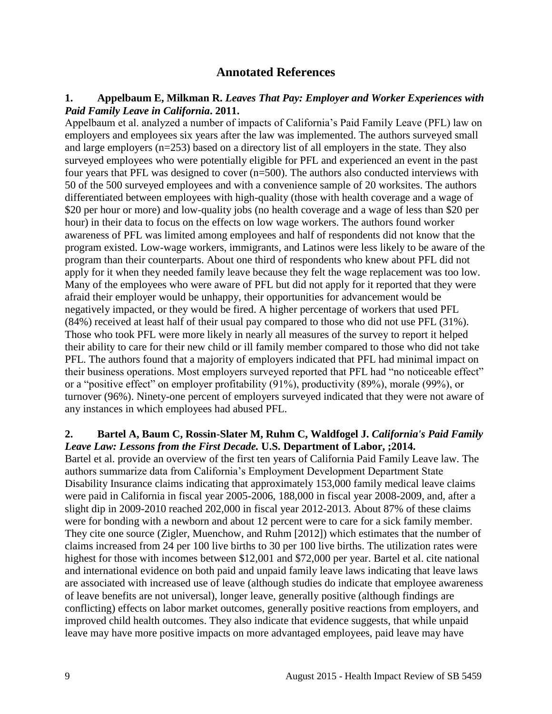# **Annotated References**

#### <span id="page-10-1"></span><span id="page-10-0"></span>**1. Appelbaum E, Milkman R.** *Leaves That Pay: Employer and Worker Experiences with Paid Family Leave in California***. 2011.**

Appelbaum et al. analyzed a number of impacts of California's Paid Family Leave (PFL) law on employers and employees six years after the law was implemented. The authors surveyed small and large employers (n=253) based on a directory list of all employers in the state. They also surveyed employees who were potentially eligible for PFL and experienced an event in the past four years that PFL was designed to cover (n=500). The authors also conducted interviews with 50 of the 500 surveyed employees and with a convenience sample of 20 worksites. The authors differentiated between employees with high-quality (those with health coverage and a wage of \$20 per hour or more) and low-quality jobs (no health coverage and a wage of less than \$20 per hour) in their data to focus on the effects on low wage workers. The authors found worker awareness of PFL was limited among employees and half of respondents did not know that the program existed. Low-wage workers, immigrants, and Latinos were less likely to be aware of the program than their counterparts. About one third of respondents who knew about PFL did not apply for it when they needed family leave because they felt the wage replacement was too low. Many of the employees who were aware of PFL but did not apply for it reported that they were afraid their employer would be unhappy, their opportunities for advancement would be negatively impacted, or they would be fired. A higher percentage of workers that used PFL (84%) received at least half of their usual pay compared to those who did not use PFL (31%). Those who took PFL were more likely in nearly all measures of the survey to report it helped their ability to care for their new child or ill family member compared to those who did not take PFL. The authors found that a majority of employers indicated that PFL had minimal impact on their business operations. Most employers surveyed reported that PFL had "no noticeable effect" or a "positive effect" on employer profitability (91%), productivity (89%), morale (99%), or turnover (96%). Ninety-one percent of employers surveyed indicated that they were not aware of any instances in which employees had abused PFL.

#### <span id="page-10-2"></span>**2. Bartel A, Baum C, Rossin-Slater M, Ruhm C, Waldfogel J.** *California's Paid Family Leave Law: Lessons from the First Decade.* **U.S. Department of Labor, ;2014.**

Bartel et al. provide an overview of the first ten years of California Paid Family Leave law. The authors summarize data from California's Employment Development Department State Disability Insurance claims indicating that approximately 153,000 family medical leave claims were paid in California in fiscal year 2005-2006, 188,000 in fiscal year 2008-2009, and, after a slight dip in 2009-2010 reached 202,000 in fiscal year 2012-2013. About 87% of these claims were for bonding with a newborn and about 12 percent were to care for a sick family member. They cite one source (Zigler, Muenchow, and Ruhm [2012]) which estimates that the number of claims increased from 24 per 100 live births to 30 per 100 live births. The utilization rates were highest for those with incomes between \$12,001 and \$72,000 per year. Bartel et al. cite national and international evidence on both paid and unpaid family leave laws indicating that leave laws are associated with increased use of leave (although studies do indicate that employee awareness of leave benefits are not universal), longer leave, generally positive (although findings are conflicting) effects on labor market outcomes, generally positive reactions from employers, and improved child health outcomes. They also indicate that evidence suggests, that while unpaid leave may have more positive impacts on more advantaged employees, paid leave may have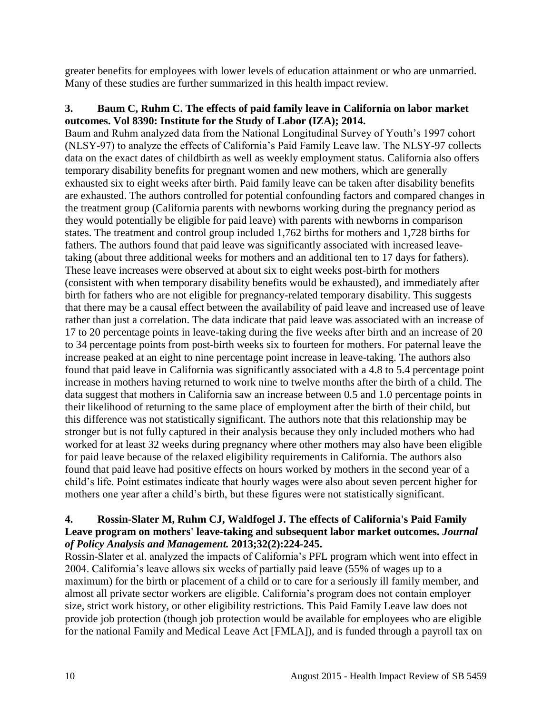greater benefits for employees with lower levels of education attainment or who are unmarried. Many of these studies are further summarized in this health impact review.

#### <span id="page-11-1"></span>**3. Baum C, Ruhm C. The effects of paid family leave in California on labor market outcomes. Vol 8390: Institute for the Study of Labor (IZA); 2014.**

Baum and Ruhm analyzed data from the National Longitudinal Survey of Youth's 1997 cohort (NLSY-97) to analyze the effects of California's Paid Family Leave law. The NLSY-97 collects data on the exact dates of childbirth as well as weekly employment status. California also offers temporary disability benefits for pregnant women and new mothers, which are generally exhausted six to eight weeks after birth. Paid family leave can be taken after disability benefits are exhausted. The authors controlled for potential confounding factors and compared changes in the treatment group (California parents with newborns working during the pregnancy period as they would potentially be eligible for paid leave) with parents with newborns in comparison states. The treatment and control group included 1,762 births for mothers and 1,728 births for fathers. The authors found that paid leave was significantly associated with increased leavetaking (about three additional weeks for mothers and an additional ten to 17 days for fathers). These leave increases were observed at about six to eight weeks post-birth for mothers (consistent with when temporary disability benefits would be exhausted), and immediately after birth for fathers who are not eligible for pregnancy-related temporary disability. This suggests that there may be a causal effect between the availability of paid leave and increased use of leave rather than just a correlation. The data indicate that paid leave was associated with an increase of 17 to 20 percentage points in leave-taking during the five weeks after birth and an increase of 20 to 34 percentage points from post-birth weeks six to fourteen for mothers. For paternal leave the increase peaked at an eight to nine percentage point increase in leave-taking. The authors also found that paid leave in California was significantly associated with a 4.8 to 5.4 percentage point increase in mothers having returned to work nine to twelve months after the birth of a child. The data suggest that mothers in California saw an increase between 0.5 and 1.0 percentage points in their likelihood of returning to the same place of employment after the birth of their child, but this difference was not statistically significant. The authors note that this relationship may be stronger but is not fully captured in their analysis because they only included mothers who had worked for at least 32 weeks during pregnancy where other mothers may also have been eligible for paid leave because of the relaxed eligibility requirements in California. The authors also found that paid leave had positive effects on hours worked by mothers in the second year of a child's life. Point estimates indicate that hourly wages were also about seven percent higher for mothers one year after a child's birth, but these figures were not statistically significant.

#### <span id="page-11-0"></span>**4. Rossin-Slater M, Ruhm CJ, Waldfogel J. The effects of California's Paid Family Leave program on mothers' leave-taking and subsequent labor market outcomes.** *Journal of Policy Analysis and Management.* **2013;32(2):224-245.**

Rossin-Slater et al. analyzed the impacts of California's PFL program which went into effect in 2004. California's leave allows six weeks of partially paid leave (55% of wages up to a maximum) for the birth or placement of a child or to care for a seriously ill family member, and almost all private sector workers are eligible. California's program does not contain employer size, strict work history, or other eligibility restrictions. This Paid Family Leave law does not provide job protection (though job protection would be available for employees who are eligible for the national Family and Medical Leave Act [FMLA]), and is funded through a payroll tax on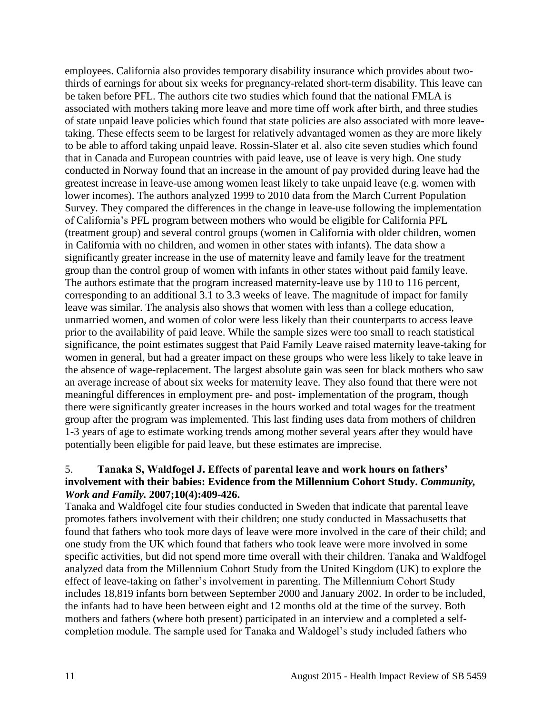employees. California also provides temporary disability insurance which provides about twothirds of earnings for about six weeks for pregnancy-related short-term disability. This leave can be taken before PFL. The authors cite two studies which found that the national FMLA is associated with mothers taking more leave and more time off work after birth, and three studies of state unpaid leave policies which found that state policies are also associated with more leavetaking. These effects seem to be largest for relatively advantaged women as they are more likely to be able to afford taking unpaid leave. Rossin-Slater et al. also cite seven studies which found that in Canada and European countries with paid leave, use of leave is very high. One study conducted in Norway found that an increase in the amount of pay provided during leave had the greatest increase in leave-use among women least likely to take unpaid leave (e.g. women with lower incomes). The authors analyzed 1999 to 2010 data from the March Current Population Survey. They compared the differences in the change in leave-use following the implementation of California's PFL program between mothers who would be eligible for California PFL (treatment group) and several control groups (women in California with older children, women in California with no children, and women in other states with infants). The data show a significantly greater increase in the use of maternity leave and family leave for the treatment group than the control group of women with infants in other states without paid family leave. The authors estimate that the program increased maternity-leave use by 110 to 116 percent, corresponding to an additional 3.1 to 3.3 weeks of leave. The magnitude of impact for family leave was similar. The analysis also shows that women with less than a college education, unmarried women, and women of color were less likely than their counterparts to access leave prior to the availability of paid leave. While the sample sizes were too small to reach statistical significance, the point estimates suggest that Paid Family Leave raised maternity leave-taking for women in general, but had a greater impact on these groups who were less likely to take leave in the absence of wage-replacement. The largest absolute gain was seen for black mothers who saw an average increase of about six weeks for maternity leave. They also found that there were not meaningful differences in employment pre- and post- implementation of the program, though there were significantly greater increases in the hours worked and total wages for the treatment group after the program was implemented. This last finding uses data from mothers of children 1-3 years of age to estimate working trends among mother several years after they would have potentially been eligible for paid leave, but these estimates are imprecise.

#### <span id="page-12-0"></span>5. **Tanaka S, Waldfogel J. Effects of parental leave and work hours on fathers' involvement with their babies: Evidence from the Millennium Cohort Study.** *Community, Work and Family.* **2007;10(4):409-426.**

Tanaka and Waldfogel cite four studies conducted in Sweden that indicate that parental leave promotes fathers involvement with their children; one study conducted in Massachusetts that found that fathers who took more days of leave were more involved in the care of their child; and one study from the UK which found that fathers who took leave were more involved in some specific activities, but did not spend more time overall with their children. Tanaka and Waldfogel analyzed data from the Millennium Cohort Study from the United Kingdom (UK) to explore the effect of leave-taking on father's involvement in parenting. The Millennium Cohort Study includes 18,819 infants born between September 2000 and January 2002. In order to be included, the infants had to have been between eight and 12 months old at the time of the survey. Both mothers and fathers (where both present) participated in an interview and a completed a selfcompletion module. The sample used for Tanaka and Waldogel's study included fathers who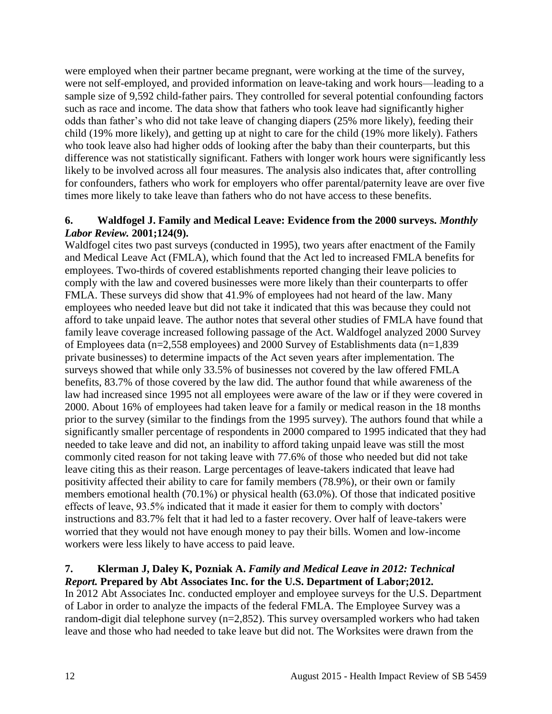were employed when their partner became pregnant, were working at the time of the survey, were not self-employed, and provided information on leave-taking and work hours—leading to a sample size of 9,592 child-father pairs. They controlled for several potential confounding factors such as race and income. The data show that fathers who took leave had significantly higher odds than father's who did not take leave of changing diapers (25% more likely), feeding their child (19% more likely), and getting up at night to care for the child (19% more likely). Fathers who took leave also had higher odds of looking after the baby than their counterparts, but this difference was not statistically significant. Fathers with longer work hours were significantly less likely to be involved across all four measures. The analysis also indicates that, after controlling for confounders, fathers who work for employers who offer parental/paternity leave are over five times more likely to take leave than fathers who do not have access to these benefits.

#### <span id="page-13-0"></span>**6. Waldfogel J. Family and Medical Leave: Evidence from the 2000 surveys.** *Monthly Labor Review.* **2001;124(9).**

Waldfogel cites two past surveys (conducted in 1995), two years after enactment of the Family and Medical Leave Act (FMLA), which found that the Act led to increased FMLA benefits for employees. Two-thirds of covered establishments reported changing their leave policies to comply with the law and covered businesses were more likely than their counterparts to offer FMLA. These surveys did show that 41.9% of employees had not heard of the law. Many employees who needed leave but did not take it indicated that this was because they could not afford to take unpaid leave. The author notes that several other studies of FMLA have found that family leave coverage increased following passage of the Act. Waldfogel analyzed 2000 Survey of Employees data (n=2,558 employees) and 2000 Survey of Establishments data (n=1,839 private businesses) to determine impacts of the Act seven years after implementation. The surveys showed that while only 33.5% of businesses not covered by the law offered FMLA benefits, 83.7% of those covered by the law did. The author found that while awareness of the law had increased since 1995 not all employees were aware of the law or if they were covered in 2000. About 16% of employees had taken leave for a family or medical reason in the 18 months prior to the survey (similar to the findings from the 1995 survey). The authors found that while a significantly smaller percentage of respondents in 2000 compared to 1995 indicated that they had needed to take leave and did not, an inability to afford taking unpaid leave was still the most commonly cited reason for not taking leave with 77.6% of those who needed but did not take leave citing this as their reason. Large percentages of leave-takers indicated that leave had positivity affected their ability to care for family members (78.9%), or their own or family members emotional health (70.1%) or physical health (63.0%). Of those that indicated positive effects of leave, 93.5% indicated that it made it easier for them to comply with doctors' instructions and 83.7% felt that it had led to a faster recovery. Over half of leave-takers were worried that they would not have enough money to pay their bills. Women and low-income workers were less likely to have access to paid leave.

#### <span id="page-13-1"></span>**7. Klerman J, Daley K, Pozniak A.** *Family and Medical Leave in 2012: Technical Report.* **Prepared by Abt Associates Inc. for the U.S. Department of Labor;2012.**

In 2012 Abt Associates Inc. conducted employer and employee surveys for the U.S. Department of Labor in order to analyze the impacts of the federal FMLA. The Employee Survey was a random-digit dial telephone survey (n=2,852). This survey oversampled workers who had taken leave and those who had needed to take leave but did not. The Worksites were drawn from the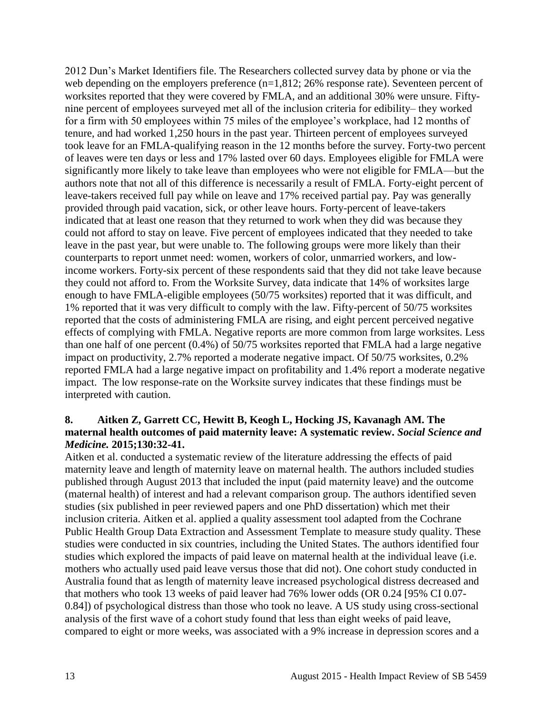2012 Dun's Market Identifiers file. The Researchers collected survey data by phone or via the web depending on the employers preference (n=1,812; 26% response rate). Seventeen percent of worksites reported that they were covered by FMLA, and an additional 30% were unsure. Fiftynine percent of employees surveyed met all of the inclusion criteria for edibility– they worked for a firm with 50 employees within 75 miles of the employee's workplace, had 12 months of tenure, and had worked 1,250 hours in the past year. Thirteen percent of employees surveyed took leave for an FMLA-qualifying reason in the 12 months before the survey. Forty-two percent of leaves were ten days or less and 17% lasted over 60 days. Employees eligible for FMLA were significantly more likely to take leave than employees who were not eligible for FMLA—but the authors note that not all of this difference is necessarily a result of FMLA. Forty-eight percent of leave-takers received full pay while on leave and 17% received partial pay. Pay was generally provided through paid vacation, sick, or other leave hours. Forty-percent of leave-takers indicated that at least one reason that they returned to work when they did was because they could not afford to stay on leave. Five percent of employees indicated that they needed to take leave in the past year, but were unable to. The following groups were more likely than their counterparts to report unmet need: women, workers of color, unmarried workers, and lowincome workers. Forty-six percent of these respondents said that they did not take leave because they could not afford to. From the Worksite Survey, data indicate that 14% of worksites large enough to have FMLA-eligible employees (50/75 worksites) reported that it was difficult, and 1% reported that it was very difficult to comply with the law. Fifty-percent of 50/75 worksites reported that the costs of administering FMLA are rising, and eight percent perceived negative effects of complying with FMLA. Negative reports are more common from large worksites. Less than one half of one percent (0.4%) of 50/75 worksites reported that FMLA had a large negative impact on productivity, 2.7% reported a moderate negative impact. Of 50/75 worksites, 0.2% reported FMLA had a large negative impact on profitability and 1.4% report a moderate negative impact. The low response-rate on the Worksite survey indicates that these findings must be interpreted with caution.

#### <span id="page-14-0"></span>**8. Aitken Z, Garrett CC, Hewitt B, Keogh L, Hocking JS, Kavanagh AM. The maternal health outcomes of paid maternity leave: A systematic review.** *Social Science and Medicine.* **2015;130:32-41.**

Aitken et al. conducted a systematic review of the literature addressing the effects of paid maternity leave and length of maternity leave on maternal health. The authors included studies published through August 2013 that included the input (paid maternity leave) and the outcome (maternal health) of interest and had a relevant comparison group. The authors identified seven studies (six published in peer reviewed papers and one PhD dissertation) which met their inclusion criteria. Aitken et al. applied a quality assessment tool adapted from the Cochrane Public Health Group Data Extraction and Assessment Template to measure study quality. These studies were conducted in six countries, including the United States. The authors identified four studies which explored the impacts of paid leave on maternal health at the individual leave (i.e. mothers who actually used paid leave versus those that did not). One cohort study conducted in Australia found that as length of maternity leave increased psychological distress decreased and that mothers who took 13 weeks of paid leaver had 76% lower odds (OR 0.24 [95% CI 0.07- 0.84]) of psychological distress than those who took no leave. A US study using cross-sectional analysis of the first wave of a cohort study found that less than eight weeks of paid leave, compared to eight or more weeks, was associated with a 9% increase in depression scores and a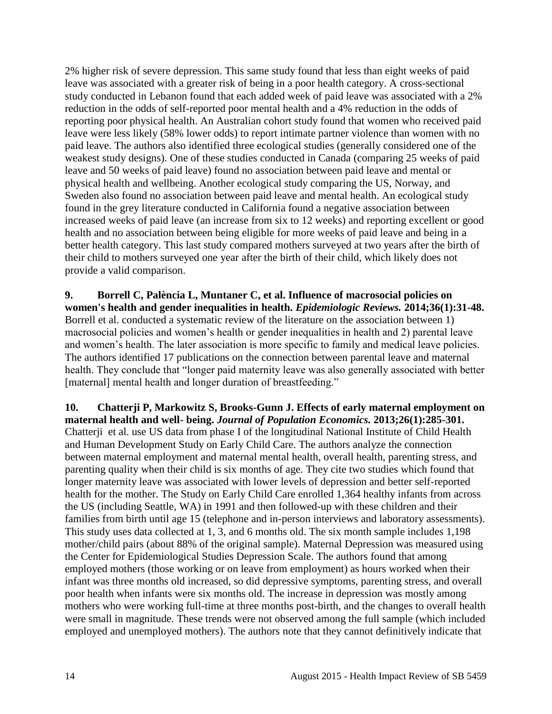2% higher risk of severe depression. This same study found that less than eight weeks of paid leave was associated with a greater risk of being in a poor health category. A cross-sectional study conducted in Lebanon found that each added week of paid leave was associated with a 2% reduction in the odds of self-reported poor mental health and a 4% reduction in the odds of reporting poor physical health. An Australian cohort study found that women who received paid leave were less likely (58% lower odds) to report intimate partner violence than women with no paid leave. The authors also identified three ecological studies (generally considered one of the weakest study designs). One of these studies conducted in Canada (comparing 25 weeks of paid leave and 50 weeks of paid leave) found no association between paid leave and mental or physical health and wellbeing. Another ecological study comparing the US, Norway, and Sweden also found no association between paid leave and mental health. An ecological study found in the grey literature conducted in California found a negative association between increased weeks of paid leave (an increase from six to 12 weeks) and reporting excellent or good health and no association between being eligible for more weeks of paid leave and being in a better health category. This last study compared mothers surveyed at two years after the birth of their child to mothers surveyed one year after the birth of their child, which likely does not provide a valid comparison.

<span id="page-15-1"></span>**9. Borrell C, Palència L, Muntaner C, et al. Influence of macrosocial policies on women's health and gender inequalities in health.** *Epidemiologic Reviews.* **2014;36(1):31-48.** Borrell et al. conducted a systematic review of the literature on the association between 1) macrosocial policies and women's health or gender inequalities in health and 2) parental leave and women's health. The later association is more specific to family and medical leave policies. The authors identified 17 publications on the connection between parental leave and maternal health. They conclude that "longer paid maternity leave was also generally associated with better [maternal] mental health and longer duration of breastfeeding."

<span id="page-15-0"></span>**10. Chatterji P, Markowitz S, Brooks-Gunn J. Effects of early maternal employment on maternal health and well- being.** *Journal of Population Economics.* **2013;26(1):285-301.** Chatterji et al. use US data from phase I of the longitudinal National Institute of Child Health and Human Development Study on Early Child Care. The authors analyze the connection between maternal employment and maternal mental health, overall health, parenting stress, and parenting quality when their child is six months of age. They cite two studies which found that longer maternity leave was associated with lower levels of depression and better self-reported health for the mother. The Study on Early Child Care enrolled 1,364 healthy infants from across the US (including Seattle, WA) in 1991 and then followed-up with these children and their families from birth until age 15 (telephone and in-person interviews and laboratory assessments). This study uses data collected at 1, 3, and 6 months old. The six month sample includes 1,198 mother/child pairs (about 88% of the original sample). Maternal Depression was measured using the Center for Epidemiological Studies Depression Scale. The authors found that among employed mothers (those working or on leave from employment) as hours worked when their infant was three months old increased, so did depressive symptoms, parenting stress, and overall poor health when infants were six months old. The increase in depression was mostly among mothers who were working full-time at three months post-birth, and the changes to overall health were small in magnitude. These trends were not observed among the full sample (which included employed and unemployed mothers). The authors note that they cannot definitively indicate that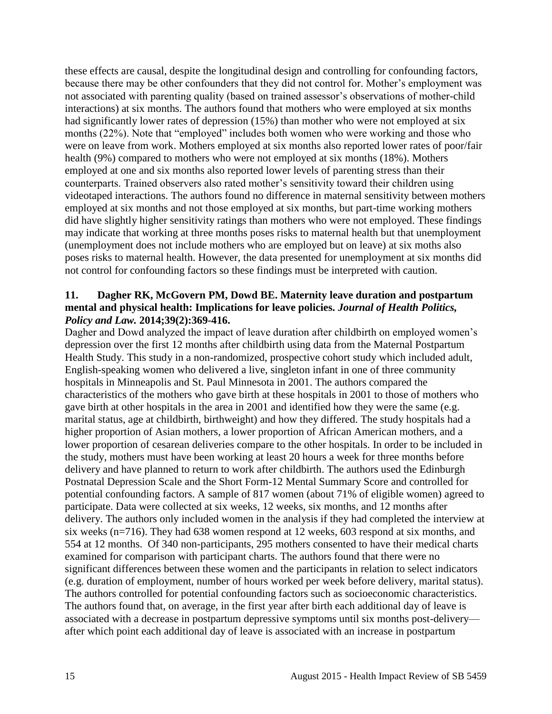these effects are causal, despite the longitudinal design and controlling for confounding factors, because there may be other confounders that they did not control for. Mother's employment was not associated with parenting quality (based on trained assessor's observations of mother-child interactions) at six months. The authors found that mothers who were employed at six months had significantly lower rates of depression (15%) than mother who were not employed at six months (22%). Note that "employed" includes both women who were working and those who were on leave from work. Mothers employed at six months also reported lower rates of poor/fair health (9%) compared to mothers who were not employed at six months (18%). Mothers employed at one and six months also reported lower levels of parenting stress than their counterparts. Trained observers also rated mother's sensitivity toward their children using videotaped interactions. The authors found no difference in maternal sensitivity between mothers employed at six months and not those employed at six months, but part-time working mothers did have slightly higher sensitivity ratings than mothers who were not employed. These findings may indicate that working at three months poses risks to maternal health but that unemployment (unemployment does not include mothers who are employed but on leave) at six moths also poses risks to maternal health. However, the data presented for unemployment at six months did not control for confounding factors so these findings must be interpreted with caution.

#### <span id="page-16-0"></span>**11. Dagher RK, McGovern PM, Dowd BE. Maternity leave duration and postpartum mental and physical health: Implications for leave policies.** *Journal of Health Politics, Policy and Law.* **2014;39(2):369-416.**

Dagher and Dowd analyzed the impact of leave duration after childbirth on employed women's depression over the first 12 months after childbirth using data from the Maternal Postpartum Health Study. This study in a non-randomized, prospective cohort study which included adult, English-speaking women who delivered a live, singleton infant in one of three community hospitals in Minneapolis and St. Paul Minnesota in 2001. The authors compared the characteristics of the mothers who gave birth at these hospitals in 2001 to those of mothers who gave birth at other hospitals in the area in 2001 and identified how they were the same (e.g. marital status, age at childbirth, birthweight) and how they differed. The study hospitals had a higher proportion of Asian mothers, a lower proportion of African American mothers, and a lower proportion of cesarean deliveries compare to the other hospitals. In order to be included in the study, mothers must have been working at least 20 hours a week for three months before delivery and have planned to return to work after childbirth. The authors used the Edinburgh Postnatal Depression Scale and the Short Form-12 Mental Summary Score and controlled for potential confounding factors. A sample of 817 women (about 71% of eligible women) agreed to participate. Data were collected at six weeks, 12 weeks, six months, and 12 months after delivery. The authors only included women in the analysis if they had completed the interview at six weeks (n=716). They had 638 women respond at 12 weeks, 603 respond at six months, and 554 at 12 months. Of 340 non-participants, 295 mothers consented to have their medical charts examined for comparison with participant charts. The authors found that there were no significant differences between these women and the participants in relation to select indicators (e.g. duration of employment, number of hours worked per week before delivery, marital status). The authors controlled for potential confounding factors such as socioeconomic characteristics. The authors found that, on average, in the first year after birth each additional day of leave is associated with a decrease in postpartum depressive symptoms until six months post-delivery after which point each additional day of leave is associated with an increase in postpartum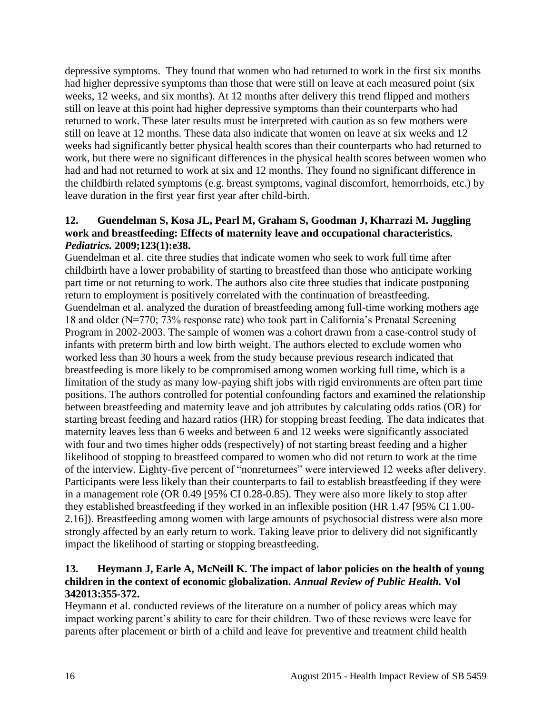depressive symptoms. They found that women who had returned to work in the first six months had higher depressive symptoms than those that were still on leave at each measured point (six weeks, 12 weeks, and six months). At 12 months after delivery this trend flipped and mothers still on leave at this point had higher depressive symptoms than their counterparts who had returned to work. These later results must be interpreted with caution as so few mothers were still on leave at 12 months. These data also indicate that women on leave at six weeks and 12 weeks had significantly better physical health scores than their counterparts who had returned to work, but there were no significant differences in the physical health scores between women who had and had not returned to work at six and 12 months. They found no significant difference in the childbirth related symptoms (e.g. breast symptoms, vaginal discomfort, hemorrhoids, etc.) by leave duration in the first year first year after child-birth.

#### <span id="page-17-1"></span>**12. Guendelman S, Kosa JL, Pearl M, Graham S, Goodman J, Kharrazi M. Juggling work and breastfeeding: Effects of maternity leave and occupational characteristics.**  *Pediatrics.* **2009;123(1):e38.**

Guendelman et al. cite three studies that indicate women who seek to work full time after childbirth have a lower probability of starting to breastfeed than those who anticipate working part time or not returning to work. The authors also cite three studies that indicate postponing return to employment is positively correlated with the continuation of breastfeeding. Guendelman et al. analyzed the duration of breastfeeding among full-time working mothers age 18 and older (N=770; 73% response rate) who took part in California's Prenatal Screening Program in 2002-2003. The sample of women was a cohort drawn from a case-control study of infants with preterm birth and low birth weight. The authors elected to exclude women who worked less than 30 hours a week from the study because previous research indicated that breastfeeding is more likely to be compromised among women working full time, which is a limitation of the study as many low-paying shift jobs with rigid environments are often part time positions. The authors controlled for potential confounding factors and examined the relationship between breastfeeding and maternity leave and job attributes by calculating odds ratios (OR) for starting breast feeding and hazard ratios (HR) for stopping breast feeding. The data indicates that maternity leaves less than 6 weeks and between 6 and 12 weeks were significantly associated with four and two times higher odds (respectively) of not starting breast feeding and a higher likelihood of stopping to breastfeed compared to women who did not return to work at the time of the interview. Eighty-five percent of "nonreturnees" were interviewed 12 weeks after delivery. Participants were less likely than their counterparts to fail to establish breastfeeding if they were in a management role (OR 0.49 [95% CI 0.28-0.85). They were also more likely to stop after they established breastfeeding if they worked in an inflexible position (HR 1.47 [95% CI 1.00- 2.16]). Breastfeeding among women with large amounts of psychosocial distress were also more strongly affected by an early return to work. Taking leave prior to delivery did not significantly impact the likelihood of starting or stopping breastfeeding.

# <span id="page-17-0"></span>**13. Heymann J, Earle A, McNeill K. The impact of labor policies on the health of young children in the context of economic globalization.** *Annual Review of Public Health.* **Vol 342013:355-372.**

Heymann et al. conducted reviews of the literature on a number of policy areas which may impact working parent's ability to care for their children. Two of these reviews were leave for parents after placement or birth of a child and leave for preventive and treatment child health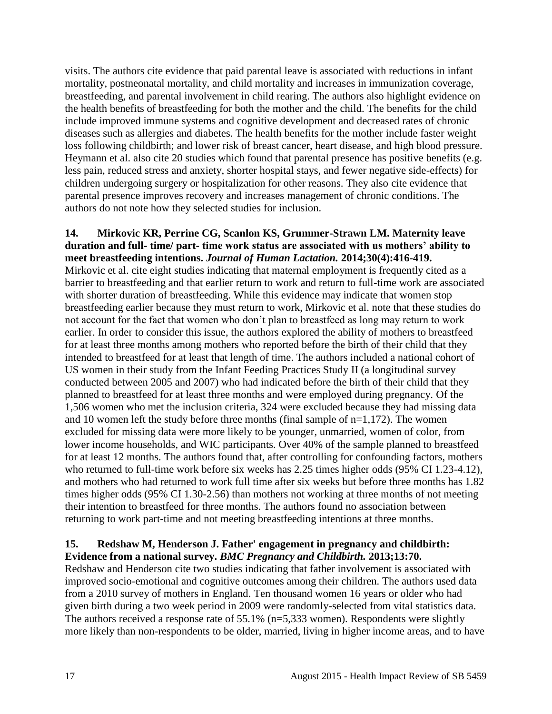visits. The authors cite evidence that paid parental leave is associated with reductions in infant mortality, postneonatal mortality, and child mortality and increases in immunization coverage, breastfeeding, and parental involvement in child rearing. The authors also highlight evidence on the health benefits of breastfeeding for both the mother and the child. The benefits for the child include improved immune systems and cognitive development and decreased rates of chronic diseases such as allergies and diabetes. The health benefits for the mother include faster weight loss following childbirth; and lower risk of breast cancer, heart disease, and high blood pressure. Heymann et al. also cite 20 studies which found that parental presence has positive benefits (e.g. less pain, reduced stress and anxiety, shorter hospital stays, and fewer negative side-effects) for children undergoing surgery or hospitalization for other reasons. They also cite evidence that parental presence improves recovery and increases management of chronic conditions. The authors do not note how they selected studies for inclusion.

#### **14. Mirkovic KR, Perrine CG, Scanlon KS, Grummer-Strawn LM. Maternity leave duration and full- time/ part- time work status are associated with us mothers' ability to meet breastfeeding intentions.** *Journal of Human Lactation.* **2014;30(4):416-419.** Mirkovic et al. cite eight studies indicating that maternal employment is frequently cited as a barrier to breastfeeding and that earlier return to work and return to full-time work are associated with shorter duration of breastfeeding. While this evidence may indicate that women stop breastfeeding earlier because they must return to work, Mirkovic et al. note that these studies do not account for the fact that women who don't plan to breastfeed as long may return to work earlier. In order to consider this issue, the authors explored the ability of mothers to breastfeed for at least three months among mothers who reported before the birth of their child that they intended to breastfeed for at least that length of time. The authors included a national cohort of US women in their study from the Infant Feeding Practices Study II (a longitudinal survey conducted between 2005 and 2007) who had indicated before the birth of their child that they planned to breastfeed for at least three months and were employed during pregnancy. Of the 1,506 women who met the inclusion criteria, 324 were excluded because they had missing data and 10 women left the study before three months (final sample of n=1,172). The women excluded for missing data were more likely to be younger, unmarried, women of color, from lower income households, and WIC participants. Over 40% of the sample planned to breastfeed for at least 12 months. The authors found that, after controlling for confounding factors, mothers who returned to full-time work before six weeks has 2.25 times higher odds (95% CI 1.23-4.12), and mothers who had returned to work full time after six weeks but before three months has 1.82 times higher odds (95% CI 1.30-2.56) than mothers not working at three months of not meeting their intention to breastfeed for three months. The authors found no association between returning to work part-time and not meeting breastfeeding intentions at three months.

#### <span id="page-18-0"></span>**15. Redshaw M, Henderson J. Father' engagement in pregnancy and childbirth: Evidence from a national survey.** *BMC Pregnancy and Childbirth.* **2013;13:70.**

Redshaw and Henderson cite two studies indicating that father involvement is associated with improved socio-emotional and cognitive outcomes among their children. The authors used data from a 2010 survey of mothers in England. Ten thousand women 16 years or older who had given birth during a two week period in 2009 were randomly-selected from vital statistics data. The authors received a response rate of 55.1% (n=5,333 women). Respondents were slightly more likely than non-respondents to be older, married, living in higher income areas, and to have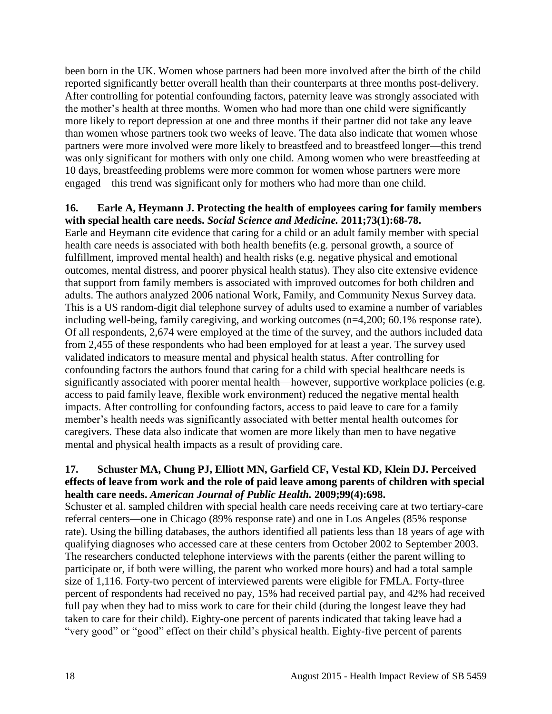been born in the UK. Women whose partners had been more involved after the birth of the child reported significantly better overall health than their counterparts at three months post-delivery. After controlling for potential confounding factors, paternity leave was strongly associated with the mother's health at three months. Women who had more than one child were significantly more likely to report depression at one and three months if their partner did not take any leave than women whose partners took two weeks of leave. The data also indicate that women whose partners were more involved were more likely to breastfeed and to breastfeed longer—this trend was only significant for mothers with only one child. Among women who were breastfeeding at 10 days, breastfeeding problems were more common for women whose partners were more engaged—this trend was significant only for mothers who had more than one child.

#### <span id="page-19-0"></span>**16. Earle A, Heymann J. Protecting the health of employees caring for family members with special health care needs.** *Social Science and Medicine.* **2011;73(1):68-78.**

Earle and Heymann cite evidence that caring for a child or an adult family member with special health care needs is associated with both health benefits (e.g. personal growth, a source of fulfillment, improved mental health) and health risks (e.g. negative physical and emotional outcomes, mental distress, and poorer physical health status). They also cite extensive evidence that support from family members is associated with improved outcomes for both children and adults. The authors analyzed 2006 national Work, Family, and Community Nexus Survey data. This is a US random-digit dial telephone survey of adults used to examine a number of variables including well-being, family caregiving, and working outcomes (n=4,200; 60.1% response rate). Of all respondents, 2,674 were employed at the time of the survey, and the authors included data from 2,455 of these respondents who had been employed for at least a year. The survey used validated indicators to measure mental and physical health status. After controlling for confounding factors the authors found that caring for a child with special healthcare needs is significantly associated with poorer mental health—however, supportive workplace policies (e.g. access to paid family leave, flexible work environment) reduced the negative mental health impacts. After controlling for confounding factors, access to paid leave to care for a family member's health needs was significantly associated with better mental health outcomes for caregivers. These data also indicate that women are more likely than men to have negative mental and physical health impacts as a result of providing care.

#### <span id="page-19-1"></span>**17. Schuster MA, Chung PJ, Elliott MN, Garfield CF, Vestal KD, Klein DJ. Perceived effects of leave from work and the role of paid leave among parents of children with special health care needs.** *American Journal of Public Health.* **2009;99(4):698.**

Schuster et al. sampled children with special health care needs receiving care at two tertiary-care referral centers—one in Chicago (89% response rate) and one in Los Angeles (85% response rate). Using the billing databases, the authors identified all patients less than 18 years of age with qualifying diagnoses who accessed care at these centers from October 2002 to September 2003. The researchers conducted telephone interviews with the parents (either the parent willing to participate or, if both were willing, the parent who worked more hours) and had a total sample size of 1,116. Forty-two percent of interviewed parents were eligible for FMLA. Forty-three percent of respondents had received no pay, 15% had received partial pay, and 42% had received full pay when they had to miss work to care for their child (during the longest leave they had taken to care for their child). Eighty-one percent of parents indicated that taking leave had a "very good" or "good" effect on their child's physical health. Eighty-five percent of parents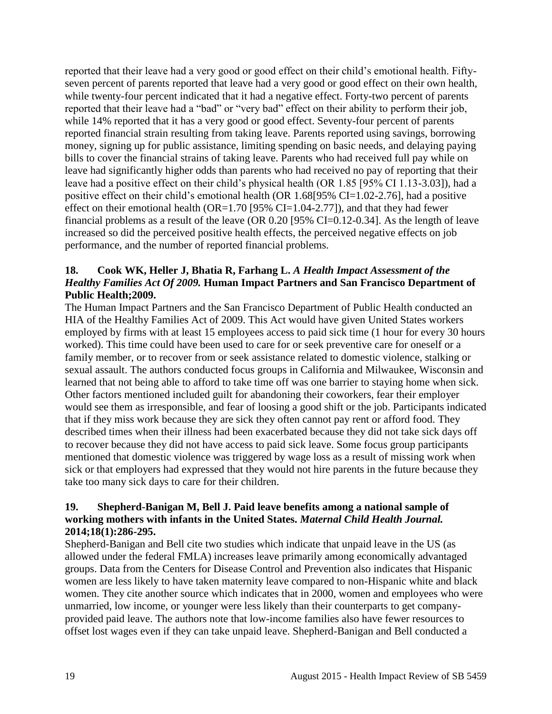reported that their leave had a very good or good effect on their child's emotional health. Fiftyseven percent of parents reported that leave had a very good or good effect on their own health, while twenty-four percent indicated that it had a negative effect. Forty-two percent of parents reported that their leave had a "bad" or "very bad" effect on their ability to perform their job, while 14% reported that it has a very good or good effect. Seventy-four percent of parents reported financial strain resulting from taking leave. Parents reported using savings, borrowing money, signing up for public assistance, limiting spending on basic needs, and delaying paying bills to cover the financial strains of taking leave. Parents who had received full pay while on leave had significantly higher odds than parents who had received no pay of reporting that their leave had a positive effect on their child's physical health (OR 1.85 [95% CI 1.13-3.03]), had a positive effect on their child's emotional health (OR 1.68[95% CI=1.02-2.76], had a positive effect on their emotional health (OR=1.70 [95% CI=1.04-2.77]), and that they had fewer financial problems as a result of the leave (OR 0.20 [95% CI=0.12-0.34]. As the length of leave increased so did the perceived positive health effects, the perceived negative effects on job performance, and the number of reported financial problems.

#### <span id="page-20-0"></span>**18. Cook WK, Heller J, Bhatia R, Farhang L.** *A Health Impact Assessment of the Healthy Families Act Of 2009.* **Human Impact Partners and San Francisco Department of Public Health;2009.**

The Human Impact Partners and the San Francisco Department of Public Health conducted an HIA of the Healthy Families Act of 2009. This Act would have given United States workers employed by firms with at least 15 employees access to paid sick time (1 hour for every 30 hours worked). This time could have been used to care for or seek preventive care for oneself or a family member, or to recover from or seek assistance related to domestic violence, stalking or sexual assault. The authors conducted focus groups in California and Milwaukee, Wisconsin and learned that not being able to afford to take time off was one barrier to staying home when sick. Other factors mentioned included guilt for abandoning their coworkers, fear their employer would see them as irresponsible, and fear of loosing a good shift or the job. Participants indicated that if they miss work because they are sick they often cannot pay rent or afford food. They described times when their illness had been exacerbated because they did not take sick days off to recover because they did not have access to paid sick leave. Some focus group participants mentioned that domestic violence was triggered by wage loss as a result of missing work when sick or that employers had expressed that they would not hire parents in the future because they take too many sick days to care for their children.

# <span id="page-20-1"></span>**19. Shepherd-Banigan M, Bell J. Paid leave benefits among a national sample of working mothers with infants in the United States.** *Maternal Child Health Journal.*  **2014;18(1):286-295.**

Shepherd-Banigan and Bell cite two studies which indicate that unpaid leave in the US (as allowed under the federal FMLA) increases leave primarily among economically advantaged groups. Data from the Centers for Disease Control and Prevention also indicates that Hispanic women are less likely to have taken maternity leave compared to non-Hispanic white and black women. They cite another source which indicates that in 2000, women and employees who were unmarried, low income, or younger were less likely than their counterparts to get companyprovided paid leave. The authors note that low-income families also have fewer resources to offset lost wages even if they can take unpaid leave. Shepherd-Banigan and Bell conducted a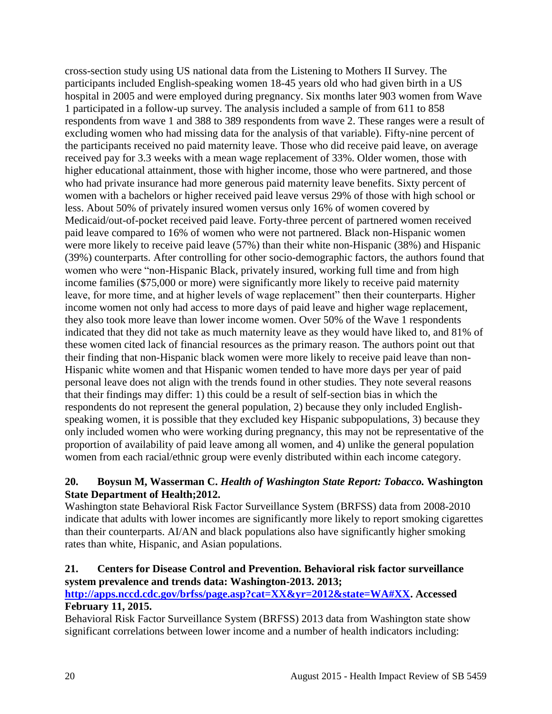cross-section study using US national data from the Listening to Mothers II Survey. The participants included English-speaking women 18-45 years old who had given birth in a US hospital in 2005 and were employed during pregnancy. Six months later 903 women from Wave 1 participated in a follow-up survey. The analysis included a sample of from 611 to 858 respondents from wave 1 and 388 to 389 respondents from wave 2. These ranges were a result of excluding women who had missing data for the analysis of that variable). Fifty-nine percent of the participants received no paid maternity leave. Those who did receive paid leave, on average received pay for 3.3 weeks with a mean wage replacement of 33%. Older women, those with higher educational attainment, those with higher income, those who were partnered, and those who had private insurance had more generous paid maternity leave benefits. Sixty percent of women with a bachelors or higher received paid leave versus 29% of those with high school or less. About 50% of privately insured women versus only 16% of women covered by Medicaid/out-of-pocket received paid leave. Forty-three percent of partnered women received paid leave compared to 16% of women who were not partnered. Black non-Hispanic women were more likely to receive paid leave (57%) than their white non-Hispanic (38%) and Hispanic (39%) counterparts. After controlling for other socio-demographic factors, the authors found that women who were "non-Hispanic Black, privately insured, working full time and from high income families (\$75,000 or more) were significantly more likely to receive paid maternity leave, for more time, and at higher levels of wage replacement" then their counterparts. Higher income women not only had access to more days of paid leave and higher wage replacement, they also took more leave than lower income women. Over 50% of the Wave 1 respondents indicated that they did not take as much maternity leave as they would have liked to, and 81% of these women cited lack of financial resources as the primary reason. The authors point out that their finding that non-Hispanic black women were more likely to receive paid leave than non-Hispanic white women and that Hispanic women tended to have more days per year of paid personal leave does not align with the trends found in other studies. They note several reasons that their findings may differ: 1) this could be a result of self-section bias in which the respondents do not represent the general population, 2) because they only included Englishspeaking women, it is possible that they excluded key Hispanic subpopulations, 3) because they only included women who were working during pregnancy, this may not be representative of the proportion of availability of paid leave among all women, and 4) unlike the general population women from each racial/ethnic group were evenly distributed within each income category.

#### <span id="page-21-0"></span>**20. Boysun M, Wasserman C.** *Health of Washington State Report: Tobacco.* **Washington State Department of Health;2012.**

Washington state Behavioral Risk Factor Surveillance System (BRFSS) data from 2008-2010 indicate that adults with lower incomes are significantly more likely to report smoking cigarettes than their counterparts. AI/AN and black populations also have significantly higher smoking rates than white, Hispanic, and Asian populations.

#### <span id="page-21-1"></span>**21. Centers for Disease Control and Prevention. Behavioral risk factor surveillance system prevalence and trends data: Washington-2013. 2013;**

# **[http://apps.nccd.cdc.gov/brfss/page.asp?cat=XX&yr=2012&state=WA#XX.](http://apps.nccd.cdc.gov/brfss/page.asp?cat=XX&yr=2012&state=WA#XX) Accessed February 11, 2015.**

Behavioral Risk Factor Surveillance System (BRFSS) 2013 data from Washington state show significant correlations between lower income and a number of health indicators including: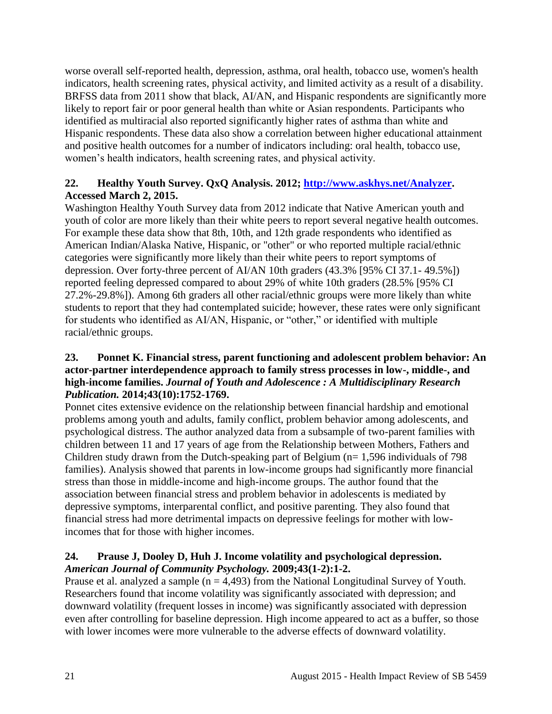worse overall self-reported health, depression, asthma, oral health, tobacco use, women's health indicators, health screening rates, physical activity, and limited activity as a result of a disability. BRFSS data from 2011 show that black, AI/AN, and Hispanic respondents are significantly more likely to report fair or poor general health than white or Asian respondents. Participants who identified as multiracial also reported significantly higher rates of asthma than white and Hispanic respondents. These data also show a correlation between higher educational attainment and positive health outcomes for a number of indicators including: oral health, tobacco use, women's health indicators, health screening rates, and physical activity.

# **22. Healthy Youth Survey. QxQ Analysis. 2012; [http://www.askhys.net/Analyzer.](http://www.askhys.net/Analyzer) Accessed March 2, 2015.**

Washington Healthy Youth Survey data from 2012 indicate that Native American youth and youth of color are more likely than their white peers to report several negative health outcomes. For example these data show that 8th, 10th, and 12th grade respondents who identified as American Indian/Alaska Native, Hispanic, or "other" or who reported multiple racial/ethnic categories were significantly more likely than their white peers to report symptoms of depression. Over forty-three percent of AI/AN 10th graders (43.3% [95% CI 37.1- 49.5%]) reported feeling depressed compared to about 29% of white 10th graders (28.5% [95% CI 27.2%-29.8%]). Among 6th graders all other racial/ethnic groups were more likely than white students to report that they had contemplated suicide; however, these rates were only significant for students who identified as AI/AN, Hispanic, or "other," or identified with multiple racial/ethnic groups.

#### <span id="page-22-1"></span>**23. Ponnet K. Financial stress, parent functioning and adolescent problem behavior: An actor-partner interdependence approach to family stress processes in low-, middle-, and high-income families.** *Journal of Youth and Adolescence : A Multidisciplinary Research Publication.* **2014;43(10):1752-1769.**

Ponnet cites extensive evidence on the relationship between financial hardship and emotional problems among youth and adults, family conflict, problem behavior among adolescents, and psychological distress. The author analyzed data from a subsample of two-parent families with children between 11 and 17 years of age from the Relationship between Mothers, Fathers and Children study drawn from the Dutch-speaking part of Belgium (n= 1,596 individuals of 798 families). Analysis showed that parents in low-income groups had significantly more financial stress than those in middle-income and high-income groups. The author found that the association between financial stress and problem behavior in adolescents is mediated by depressive symptoms, interparental conflict, and positive parenting. They also found that financial stress had more detrimental impacts on depressive feelings for mother with lowincomes that for those with higher incomes.

# <span id="page-22-0"></span>**24. Prause J, Dooley D, Huh J. Income volatility and psychological depression.**  *American Journal of Community Psychology.* **2009;43(1-2):1-2.**

Prause et al. analyzed a sample  $(n = 4,493)$  from the National Longitudinal Survey of Youth. Researchers found that income volatility was significantly associated with depression; and downward volatility (frequent losses in income) was significantly associated with depression even after controlling for baseline depression. High income appeared to act as a buffer, so those with lower incomes were more vulnerable to the adverse effects of downward volatility.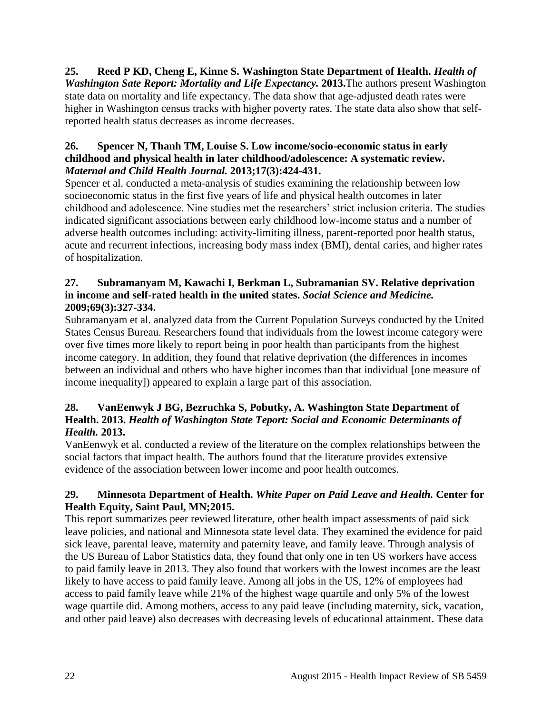<span id="page-23-1"></span>**25. Reed P KD, Cheng E, Kinne S. Washington State Department of Health.** *Health of Washington Sate Report: Mortality and Life Expectancy.* **2013.**The authors present Washington state data on mortality and life expectancy. The data show that age-adjusted death rates were higher in Washington census tracks with higher poverty rates. The state data also show that selfreported health status decreases as income decreases.

## **26. Spencer N, Thanh TM, Louise S. Low income/socio-economic status in early childhood and physical health in later childhood/adolescence: A systematic review.**  *Maternal and Child Health Journal.* **2013;17(3):424-431.**

Spencer et al. conducted a meta-analysis of studies examining the relationship between low socioeconomic status in the first five years of life and physical health outcomes in later childhood and adolescence. Nine studies met the researchers' strict inclusion criteria. The studies indicated significant associations between early childhood low-income status and a number of adverse health outcomes including: activity-limiting illness, parent-reported poor health status, acute and recurrent infections, increasing body mass index (BMI), dental caries, and higher rates of hospitalization.

#### **27. Subramanyam M, Kawachi I, Berkman L, Subramanian SV. Relative deprivation in income and self-rated health in the united states.** *Social Science and Medicine.*  **2009;69(3):327-334.**

Subramanyam et al. analyzed data from the Current Population Surveys conducted by the United States Census Bureau. Researchers found that individuals from the lowest income category were over five times more likely to report being in poor health than participants from the highest income category. In addition, they found that relative deprivation (the differences in incomes between an individual and others who have higher incomes than that individual [one measure of income inequality]) appeared to explain a large part of this association.

#### **28. VanEenwyk J BG, Bezruchka S, Pobutky, A. Washington State Department of Health. 2013.** *Health of Washington State Teport: Social and Economic Determinants of Health.* **2013.**

VanEenwyk et al. conducted a review of the literature on the complex relationships between the social factors that impact health. The authors found that the literature provides extensive evidence of the association between lower income and poor health outcomes.

# <span id="page-23-0"></span>**29. Minnesota Department of Health.** *White Paper on Paid Leave and Health.* **Center for Health Equity, Saint Paul, MN;2015.**

This report summarizes peer reviewed literature, other health impact assessments of paid sick leave policies, and national and Minnesota state level data. They examined the evidence for paid sick leave, parental leave, maternity and paternity leave, and family leave. Through analysis of the US Bureau of Labor Statistics data, they found that only one in ten US workers have access to paid family leave in 2013. They also found that workers with the lowest incomes are the least likely to have access to paid family leave. Among all jobs in the US, 12% of employees had access to paid family leave while 21% of the highest wage quartile and only 5% of the lowest wage quartile did. Among mothers, access to any paid leave (including maternity, sick, vacation, and other paid leave) also decreases with decreasing levels of educational attainment. These data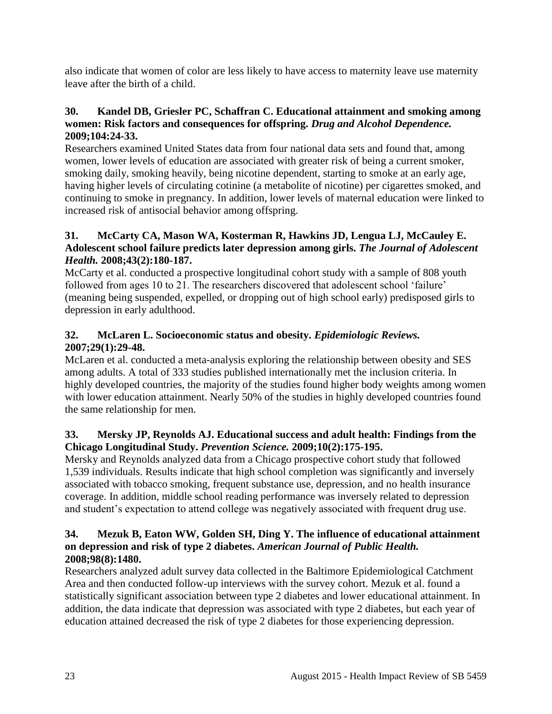also indicate that women of color are less likely to have access to maternity leave use maternity leave after the birth of a child.

# <span id="page-24-0"></span>**30. Kandel DB, Griesler PC, Schaffran C. Educational attainment and smoking among women: Risk factors and consequences for offspring.** *Drug and Alcohol Dependence.*  **2009;104:24-33.**

Researchers examined United States data from four national data sets and found that, among women, lower levels of education are associated with greater risk of being a current smoker, smoking daily, smoking heavily, being nicotine dependent, starting to smoke at an early age, having higher levels of circulating cotinine (a metabolite of nicotine) per cigarettes smoked, and continuing to smoke in pregnancy. In addition, lower levels of maternal education were linked to increased risk of antisocial behavior among offspring.

# **31. McCarty CA, Mason WA, Kosterman R, Hawkins JD, Lengua LJ, McCauley E. Adolescent school failure predicts later depression among girls.** *The Journal of Adolescent Health.* **2008;43(2):180-187.**

McCarty et al. conducted a prospective longitudinal cohort study with a sample of 808 youth followed from ages 10 to 21. The researchers discovered that adolescent school 'failure' (meaning being suspended, expelled, or dropping out of high school early) predisposed girls to depression in early adulthood.

# **32. McLaren L. Socioeconomic status and obesity.** *Epidemiologic Reviews.*  **2007;29(1):29-48.**

McLaren et al. conducted a meta-analysis exploring the relationship between obesity and SES among adults. A total of 333 studies published internationally met the inclusion criteria. In highly developed countries, the majority of the studies found higher body weights among women with lower education attainment. Nearly 50% of the studies in highly developed countries found the same relationship for men.

# **33. Mersky JP, Reynolds AJ. Educational success and adult health: Findings from the Chicago Longitudinal Study.** *Prevention Science.* **2009;10(2):175-195.**

Mersky and Reynolds analyzed data from a Chicago prospective cohort study that followed 1,539 individuals. Results indicate that high school completion was significantly and inversely associated with tobacco smoking, frequent substance use, depression, and no health insurance coverage. In addition, middle school reading performance was inversely related to depression and student's expectation to attend college was negatively associated with frequent drug use.

#### **34. Mezuk B, Eaton WW, Golden SH, Ding Y. The influence of educational attainment on depression and risk of type 2 diabetes.** *American Journal of Public Health.*  **2008;98(8):1480.**

Researchers analyzed adult survey data collected in the Baltimore Epidemiological Catchment Area and then conducted follow-up interviews with the survey cohort. Mezuk et al. found a statistically significant association between type 2 diabetes and lower educational attainment. In addition, the data indicate that depression was associated with type 2 diabetes, but each year of education attained decreased the risk of type 2 diabetes for those experiencing depression.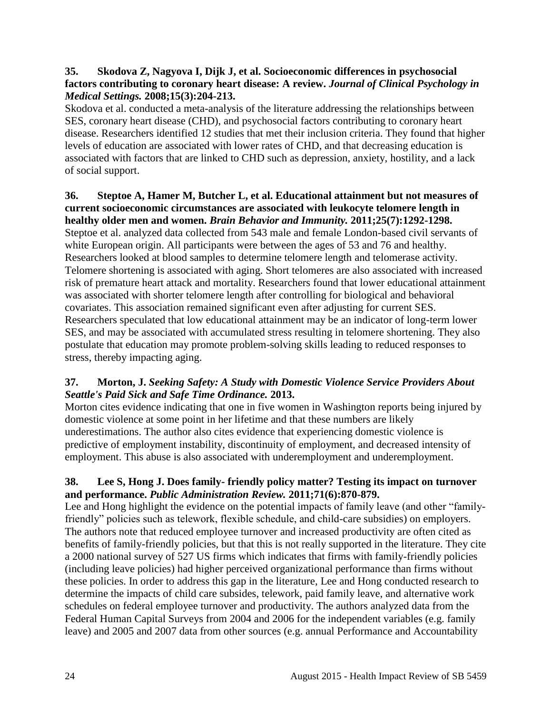#### **35. Skodova Z, Nagyova I, Dijk J, et al. Socioeconomic differences in psychosocial factors contributing to coronary heart disease: A review.** *Journal of Clinical Psychology in Medical Settings.* **2008;15(3):204-213.**

Skodova et al. conducted a meta-analysis of the literature addressing the relationships between SES, coronary heart disease (CHD), and psychosocial factors contributing to coronary heart disease. Researchers identified 12 studies that met their inclusion criteria. They found that higher levels of education are associated with lower rates of CHD, and that decreasing education is associated with factors that are linked to CHD such as depression, anxiety, hostility, and a lack of social support.

#### **36. Steptoe A, Hamer M, Butcher L, et al. Educational attainment but not measures of current socioeconomic circumstances are associated with leukocyte telomere length in healthy older men and women.** *Brain Behavior and Immunity.* **2011;25(7):1292-1298.**

Steptoe et al. analyzed data collected from 543 male and female London-based civil servants of white European origin. All participants were between the ages of 53 and 76 and healthy. Researchers looked at blood samples to determine telomere length and telomerase activity. Telomere shortening is associated with aging. Short telomeres are also associated with increased risk of premature heart attack and mortality. Researchers found that lower educational attainment was associated with shorter telomere length after controlling for biological and behavioral covariates. This association remained significant even after adjusting for current SES. Researchers speculated that low educational attainment may be an indicator of long-term lower SES, and may be associated with accumulated stress resulting in telomere shortening. They also postulate that education may promote problem-solving skills leading to reduced responses to stress, thereby impacting aging.

# <span id="page-25-0"></span>**37. Morton, J.** *Seeking Safety: A Study with Domestic Violence Service Providers About Seattle's Paid Sick and Safe Time Ordinance.* **2013.**

Morton cites evidence indicating that one in five women in Washington reports being injured by domestic violence at some point in her lifetime and that these numbers are likely underestimations. The author also cites evidence that experiencing domestic violence is predictive of employment instability, discontinuity of employment, and decreased intensity of employment. This abuse is also associated with underemployment and underemployment.

# <span id="page-25-1"></span>**38. Lee S, Hong J. Does family- friendly policy matter? Testing its impact on turnover and performance.** *Public Administration Review.* **2011;71(6):870-879.**

Lee and Hong highlight the evidence on the potential impacts of family leave (and other "familyfriendly" policies such as telework, flexible schedule, and child-care subsidies) on employers. The authors note that reduced employee turnover and increased productivity are often cited as benefits of family-friendly policies, but that this is not really supported in the literature. They cite a 2000 national survey of 527 US firms which indicates that firms with family-friendly policies (including leave policies) had higher perceived organizational performance than firms without these policies. In order to address this gap in the literature, Lee and Hong conducted research to determine the impacts of child care subsides, telework, paid family leave, and alternative work schedules on federal employee turnover and productivity. The authors analyzed data from the Federal Human Capital Surveys from 2004 and 2006 for the independent variables (e.g. family leave) and 2005 and 2007 data from other sources (e.g. annual Performance and Accountability